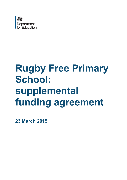

# **Rugby Free Primary School: supplemental funding agreement**

**23 March 2015**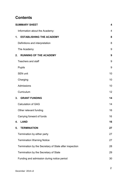# **Contents**

| <b>SUMMARY SHEET</b>                                   | $\overline{\mathbf{4}}$ |
|--------------------------------------------------------|-------------------------|
| Information about the Academy:                         | 4                       |
| <b>ESTABLISHING THE ACADEMY</b><br>1.                  | 8                       |
| Definitions and interpretation                         | 8                       |
| The Academy                                            | 9                       |
| <b>RUNNING OF THE ACADEMY</b><br>2.                    | 9                       |
| <b>Teachers and staff</b>                              | 9                       |
| <b>Pupils</b>                                          | 9                       |
| <b>SEN unit</b>                                        | 10                      |
| Charging                                               | 10                      |
| Admissions                                             | 10                      |
| Curriculum                                             | 12                      |
| 3.<br><b>GRANT FUNDING</b>                             | 14                      |
| <b>Calculation of GAG</b>                              | 14                      |
| Other relevant funding                                 | 16                      |
| Carrying forward of funds                              | 16                      |
| <b>LAND</b><br>4.                                      | 16                      |
| 5.<br><b>TERMINATION</b>                               | 27                      |
| Termination by either party                            | 27                      |
| <b>Termination Warning Notice</b>                      | 27                      |
| Termination by the Secretary of State after inspection | 28                      |
| Termination by the Secretary of State                  | 29                      |
| Funding and admission during notice period             | 30                      |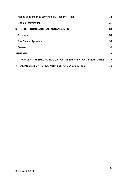|                | Notice of intention to terminate by Academy Trust          | 31 |
|----------------|------------------------------------------------------------|----|
|                | <b>Effect of termination</b>                               | 33 |
| 6.             | <b>OTHER CONTRACTUAL ARRANGEMENTS</b>                      | 34 |
|                | Annexes                                                    | 34 |
|                | The Master Agreement                                       | 34 |
|                | General                                                    | 34 |
|                | <b>ANNEXES</b>                                             | 37 |
| 7 <sup>1</sup> | PUPILS WITH SPECIAL EDUCATION NEEDS (SEN) AND DISABILITIES | 37 |
| 8.             | ADMISSION OF PUPILS WITH SEN AND DISABILITIES              | 38 |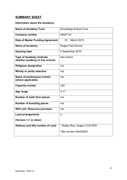# <span id="page-3-0"></span>**SUMMARY SHEET**

# <span id="page-3-1"></span>**Information about the Academy:**

| <b>Name of Academy Trust</b>                                        | <b>Knowledge School Trust</b> |
|---------------------------------------------------------------------|-------------------------------|
| <b>Company number</b>                                               | 09027131                      |
| Date of Master Funding Agreement                                    | <b>March 2015</b><br>23       |
| <b>Name of Academy</b>                                              | <b>Rugby Free School</b>      |
| <b>Opening date</b>                                                 | 4 September 2015              |
| <b>Type of Academy (indicate</b><br>whether academy or free school) | free school                   |
| <b>Religious designation</b>                                        | n/a                           |
| Wholly or partly selective                                          | n/a                           |
| Name of predecessor school<br>(where applicable)                    | n/a                           |
| <b>Capacity number</b>                                              | 420                           |
| Age range                                                           | $4 - 11$                      |
| Number of sixth form places                                         | n/a                           |
| <b>Number of boarding places</b>                                    | n/a                           |
| <b>SEN unit / Resource provision</b>                                | n/a                           |
| <b>Land arrangements</b>                                            | $\overline{4}$                |
| (Version 1-7 or other)                                              |                               |
| Address and title number of Land                                    | 1 Bailey Row, Rugby CV23 0PD  |
|                                                                     | Title number WK476091         |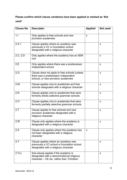# **Please confirm which clause variations have been applied or marked as 'Not used'**

| <b>Clause No.</b> | <b>Descriptor</b>                                                                                                                 | <b>Applied</b> | Not used |
|-------------------|-----------------------------------------------------------------------------------------------------------------------------------|----------------|----------|
| 1.1               | Only applies to free schools and new<br>provision academies                                                                       | X              |          |
| 2.A.1             | Clause applies where an academy was<br>previously a VC or foundation school<br>designated with a religious character              |                | X        |
| 2.C, 2.D          | Only applies where the academy has an SEN<br>unit                                                                                 |                | X        |
| 2.E               | Only applies where there was a predecessor<br>independent school                                                                  |                | X        |
| 2.G               | Clause does not apply to free schools (unless)<br>there was a predecessor independent<br>school), or new provision academies      |                | X        |
| 2.M               | Clause applies only to academies and free<br>schools designated with a religious character                                        |                | X        |
| 2.N               | Clause applies only to academies that were<br>formerly wholly selective grammar schools                                           |                | X        |
| 2.0               | Clause applies only to academies that were<br>formerly partially selective grammar schools                                        |                | X        |
| 2.7               | Clause applies to free schools and new<br>provision academies designated with a<br>religious character                            |                | X        |
| 2.W               | Clause only applies where the academy is<br>designated with a religious character                                                 |                | X        |
| 2.X               | Clause only applies where the academy has<br>not been designated with a religious<br>character                                    | X              |          |
| 2.Y               | Clause applies where an academy was<br>previously a VC school or foundation school<br>designated with a religious character       |                | X        |
| 2.Yc)             | Sub-clause applies if the academy is<br>designated with a denominational religious<br>character - CE etc. rather than 'Christian' |                | X        |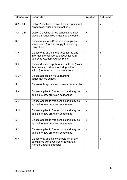| <b>Clause No.</b> | <b>Descriptor</b>                                                                                                            | <b>Applied</b> | Not used     |
|-------------------|------------------------------------------------------------------------------------------------------------------------------|----------------|--------------|
| $3.A - 3.F$       | Option 1 applies to converter and sponsored<br>academies: if used delete option 2                                            |                | X            |
| $3.A - 3.F$       | Option 2 applies to free schools and new<br>provision academies: if used delete option 1                                     | X              |              |
| 3.H               | Clause relating to Start-up only applies in<br>some cases (does not apply to academy<br>converters)                          | $\mathsf{x}$   |              |
| 3. J              | Clause only applies to full sponsored and<br>intermediate sponsored academies with<br>approved Academy Action Plans          |                | $\mathsf{x}$ |
| 3.K               | Clause does not apply to free schools (unless)<br>there was a predecessor independent<br>school), or new provision academies |                | X            |
| 5.G.1             | Clause applies only to a boarding<br>academy/free school.                                                                    |                | $\mathsf{x}$ |
| 5.1               | Clause only applies to sponsored academies                                                                                   |                | X            |
| 5.K               | Clause applies to free schools and may be<br>applied to new provision academies                                              | X              |              |
| 5.L               | Clause applies to free schools and may be<br>applied to new provision academies                                              | X              |              |
| 5.M               | Clause applies to free schools and may be<br>applied to new provision academies                                              | X              |              |
| 5.N               | Clause applies to free schools and may be<br>applied to new provision academies                                              | X              |              |
| 5.0               | Clause applies to free schools and may be<br>applied to new provision academies                                              | X              |              |
| 6.H               | Clause only applies to schools which are<br>designated with a Church of England or<br>Roman Catholic character               |                | X            |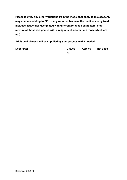**Please identify any other variations from the model that apply to this academy (e.g. clauses relating to PFI, or any required because the multi academy trust includes academies designated with different religious characters, or a mixture of those designated with a religious character, and those which are not):**

**Additional clauses will be supplied by your project lead if needed.**

| <b>Descriptor</b> | <b>Clause</b> | <b>Applied</b> | Not used |
|-------------------|---------------|----------------|----------|
|                   | No.           |                |          |
|                   |               |                |          |
|                   |               |                |          |
|                   |               |                |          |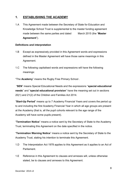# <span id="page-7-0"></span>**1. ESTABLISHING THE ACADEMY**

1.A This Agreement made between the Secretary of State for Education and Knowledge School Trust is supplemental to the master funding agreement made between the same parties and dated March 2015 (the "**Master Agreement**").

## <span id="page-7-1"></span>**Definitions and interpretation**

- 1.B Except as expressively provided in this Agreement words and expressions defined in the Master Agreement will have those same meanings in this Agreement.
- 1.C The following capitalised words and expressions will have the following meanings:

"The **Academy**" means the Rugby Free Primary School .

"**SEN**" means Special Educational Needs and the expressions "**special educational needs**" and "**special educational provision**" have the meaning set out in sections 20(1) and 21(2) of the Children and Families Act 2014.

"**Start-Up Period**" means up to 7 Academy Financial Years and covers the period up to and including the first Academy Financial Year in which all age groups are present at the Academy (that is, all the pupil cohorts relevant to the age range of the Academy will have some pupils present).

"**Termination Notice**" means a notice sent by the Secretary of State to the Academy Trust, terminating this Agreement on the date specified in the notice.

"**Termination Warning Notice**" means a notice sent by the Secretary of State to the Academy Trust, stating his intention to terminate this Agreement.

- 1.D The Interpretation Act 1978 applies to this Agreement as it applies to an Act of Parliament.
- 1.E Reference in this Agreement to clauses and annexes will, unless otherwise stated, be to clauses and annexes to this Agreement.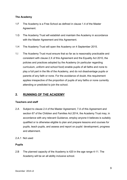# <span id="page-8-0"></span>**The Academy**

- 1.F The Academy is a Free School as defined in clause 1.4 of the Master Agreement.
- 1.G The Academy Trust will establish and maintain the Academy in accordance with the Master Agreement and this Agreement.
- 1.H The Academy Trust will open the Academy on 4 September 2015.
- 1.I The Academy Trust must ensure that so far as is reasonably practicable and consistent with clause 2.X of this Agreement and the Equality Act 2010, the policies and practices adopted by the Academy (in particular regarding curriculum, uniform and school food) enable pupils of all faiths and none to play a full part in the life of the Academy, and do not disadvantage pupils or parents of any faith or none. For the avoidance of doubt, this requirement applies irrespective of the proportion of pupils of any faiths or none currently attending or predicted to join the school.

# <span id="page-8-1"></span>**2. RUNNING OF THE ACADEMY**

# <span id="page-8-2"></span>**Teachers and staff**

- 2.A Subject to clause 2.4 of the Master Agreement, 7.A of this Agreement and section 67 of the Children and Families Act 2014, the Academy Trust may, in accordance with any relevant Guidance, employ anyone it believes is suitably qualified or is otherwise eligible to plan and prepare lessons and courses for pupils, teach pupils, and assess and report on pupils' development, progress and attainment.
- 2.A.1 Not used

# <span id="page-8-3"></span>**Pupils**

2.B The planned capacity of the Academy is 420 in the age range 4-11. The Academy will be an all ability inclusive school.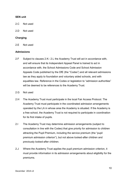## <span id="page-9-0"></span>**SEN unit**

- 2.C Not used
- 2.D Not used

#### <span id="page-9-1"></span>**Charging**

2.E Not used

#### <span id="page-9-2"></span>**Admissions**

- 2.F Subject to clauses 2.K– 2.L the Academy Trust will act in accordance with, and will ensure that its Independent Appeal Panel is trained to act in accordance with, the School Admissions Code and School Admission Appeals Code published by the DfE (the "Codes") and all relevant admissions law as they apply to foundation and voluntary aided schools, and with equalities law. Reference in the Codes or legislation to "admission authorities" will be deemed to be references to the Academy Trust.
- 2.G Not used
- 2.H The Academy Trust must participate in the local Fair Access Protocol. The Academy Trust must participate in the coordinated admission arrangements operated by the LA in whose area the Academy is situated. If the Academy is a free school, the Academy Trust is not required to participate in coordination for its first intake of pupils.
- 2.I The Academy Trust may determine admission arrangements (subject to consultation in line with the Codes) that give priority for admission to children attracting the Pupil Premium, including the service premium (the "pupil premium admission criterion"), but not above looked-after children and previously looked-after children.
- 2.J Where the Academy Trust applies the pupil premium admission criterion, it must provide information in its admission arrangements about eligibility for the premiums.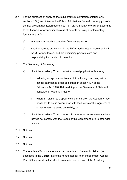- 2.K For the purposes of applying the pupil premium admission criterion only, sections 1.9(f) and 2.4(a) of the School Admissions Code do not apply insofar as they prevent admission authorities from giving priority to children according to the financial or occupational status of parents or using supplementary forms that ask for:
	- a) any personal details about their financial status; or
	- b) whether parents are serving in the UK armed forces or were serving in the UK armed forces, and are exercising parental care and responsibility for the child in question.
- 2.L The Secretary of State may:
	- a) direct the Academy Trust to admit a named pupil to the Academy:
		- i. following an application from an LA including complying with a school attendance order as defined in section 437 of the Education Act 1996. Before doing so the Secretary of State will consult the Academy Trust; or
		- ii. where in relation to a specific child or children the Academy Trust has failed to act in accordance with the Codes or this Agreement or has otherwise acted unlawfully; or
	- b) direct the Academy Trust to amend its admission arrangements where they do not comply with the Codes or this Agreement, or are otherwise unlawful.
- 2.M Not used
- 2.N Not used
- 2.O Not used
- 2.P The Academy Trust must ensure that parents and 'relevant children' (as described in the **Codes**) have the right to appeal to an Independent Appeal Panel if they are dissatisfied with an admission decision of the Academy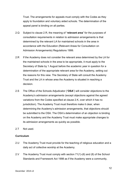Trust. The arrangements for appeals must comply with the Codes as they apply to foundation and voluntary aided schools. The determination of the appeal panel is binding on all parties.

- 2.Q Subject to clause 2.R, the meaning of "**relevant area**" for the purposes of consultation requirements in relation to admission arrangements is that determined by the relevant LA for maintained schools in the area in accordance with the Education (Relevant Areas for Consultation on Admission Arrangements) Regulations 1999.
- 2.R If the Academy does not consider the relevant area determined by the LA for the maintained schools in the area to be appropriate, it must apply to the Secretary of State by 1 August before the academic year in question for a determination of the appropriate relevant area for the Academy, setting out the reasons for this view. The Secretary of State will consult the Academy Trust and the LA in whose area the Academy is situated in reaching a decision.
- 2.S The Office of the Schools Adjudicator ("**OSA**") will consider objections to the Academy's admission arrangements (except objections against the agreed variations from the Codes specified at clause 2.K, over which it has no jurisdiction). The Academy Trust must therefore make it clear, when determining the Academy's admission arrangements, that objections should be submitted to the OSA. The OSA's determination of an objection is binding on the Academy and the Academy Trust must make appropriate changes to its admission arrangements as quickly as possible.
- 2.T Not used.

#### <span id="page-11-0"></span>**Curriculum**

- 2.U The Academy Trust must provide for the teaching of religious education and a daily act of collective worship at the Academy.
- 2.V The Academy Trust must comply with section 71(1)-(6) and (8) of the School Standards and Framework Act 1998 as if the Academy were a community,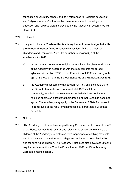foundation or voluntary school, and as if references to "religious education" and "religious worship" in that section were references to the religious education and religious worship provided by the Academy in accordance with clause 2.X.

- 2.W Not used
- 2.X Subject to clause 2.V, **where the Academy has not been designated with a religious character** (in accordance with section 124B of the School Standards and Framework Act 1998 or further to section 6(8) of the Academies Act 2010):
	- a) provision must be made for religious education to be given to all pupils at the Academy in accordance with the requirements for agreed syllabuses in section 375(3) of the Education Act 1996 and paragraph 2(5) of Schedule 19 to the School Standards and Framework Act 1998;
	- b) the Academy must comply with section 70(1) of, and Schedule 20 to, the School Standards and Framework Act 1998 as if it were a community, foundation or voluntary school which does not have a religious character, except that paragraph 4 of that Schedule does not apply. The Academy may apply to the Secretary of State for consent to be relieved of the requirement imposed by paragraph 3(2) of that Schedule.

#### 2.Y Not used

2.Z The Academy Trust must have regard to any Guidance, further to section 403 of the Education Act 1996, on sex and relationship education to ensure that children at the Academy are protected from inappropriate teaching materials and that they learn the nature of marriage and its importance for family life and for bringing up children. The Academy Trust must also have regard to the requirements in section 405 of the Education Act 1996, as if the Academy were a maintained school.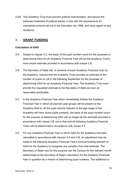2.AA The Academy Trust must prevent political indoctrination, and secure the balanced treatment of political issues, in line with the requirements for maintained schools set out in the Education Act 1996, and have regard to any Guidance.

# <span id="page-13-0"></span>3. **GRANT FUNDING**

# <span id="page-13-1"></span>**Calculation of GAG**

- 3.A Subject to clause 3.C, the basis of the pupil number count for the purposes of determining GAG for an Academy Financial Year will be the Academy Trust's most recent estimate provided in accordance with clause 3.B.
- 3.B The Secretary of State will, in advance of each Academy Financial Year for the Academy, request that the Academy Trust provides an estimate of the number of pupils on roll in the following September for the purposes of determining GAG for an Academy Financial Year. The Academy Trust must provide the requested estimate to the Secretary of State as soon as reasonably practicable.
- 3.C In the Academy Financial Year which immediately follows the Academy Financial Year in which all planned year groups will be present at the Academy (that is, all the pupil cohorts relevant to the age range of the Academy will have some pupils present), the basis of the pupil number count for the purpose of determining GAG will no longer be the estimate provided in accordance with clause 3.B, but in that and all following Academy Financial Years will be determined in accordance with clause 3.F.
- 3.D For any Academy Financial Year in which GAG for the Academy has been calculated in accordance with clauses 3.A and 3.B, an adjustment may be made to the following Academy Financial Year's formula funding element of GAG for the Academy to recognise any variation from that estimate. The Secretary of State may for this purpose use the Census for the relevant month (determined at the Secretary of State's discretion) for the Academy Financial Year in question as a means of determining pupil numbers. The additional or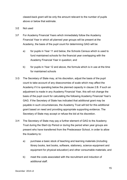clawed-back grant will be only the amount relevant to the number of pupils above or below that estimate.

- 3.E Not used
- 3.F For Academy Financial Years which immediately follow the Academy Financial Year in which all planned year groups will be present at the Academy, the basis of the pupil count for determining GAG will be:
	- a) for pupils in Year 11 and below, the Schools Census which is used to fund maintained schools for the financial year overlapping with the Academy Financial Year in question; and
	- b) for pupils in Year 12 and above, the formula which is in use at the time for maintained schools
- 3.G The Secretary of State may, at his discretion, adjust the basis of the pupil count to take account of any diseconomies of scale which may affect the Academy if it is operating below the planned capacity in clause 2.B. If such an adjustment is made in any Academy Financial Year, this will not change the basis of the pupil count for calculating the following Academy Financial Year's GAG. If the Secretary of State has indicated that additional grant may be payable in such circumstances, the Academy Trust will bid for this additional grant based on need and providing appropriate supporting evidence. The Secretary of State may accept or refuse the bid at his discretion.
- 3.H The Secretary of State may pay a further element of GAG to the Academy Trust during the Start-Up Period or during the period when year groups are present who have transferred from the Predecessor School, in order to allow the Academy to:
	- a) purchase a basic stock of teaching and learning materials (including library books, text books, software, stationery, science equipment and equipment for physical education) and other consumable materials; and
	- b) meet the costs associated with the recruitment and induction of additional staff.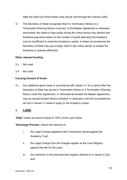After the Start-Up Period these costs will be met through the ordinary GAG.

3.I The Secretary of State recognises that if a Termination Notice or a Termination Warning Notice is served, or the Master Agreement is otherwise terminated, the intake of new pupils during the notice period may decline and therefore payments based on the number of pupils attending the Academy may be insufficient to meet the Academy's needs. In these circumstances the Secretary of State may pay a larger GAG in the notice period, to enable the Academy to operate effectively.

## <span id="page-15-0"></span>**Other relevant funding**

- 3.J Not used
- 3.K Not used

# **Carrying forward of funds**

3.L Any additional grant made in accordance with clause 3.I, for a period after the Secretary of State has served a Termination Notice or a Termination Warning Notice under this Agreement, or otherwise terminates the Master Agreement, may be carried forward without limitation or deduction until the circumstances set out in clause 3.I cease to apply or the Academy closes.

# <span id="page-15-1"></span>4. **LAND**

"**Debt**" means an amount equal to 100% of the Land Value;

"**Discharge Process**" means the removal of:

- i. the Legal Charge registered with Companies House against the Academy Trust;
- ii. the Legal Charge from the charges register at the Land Registry against the title for the Land;
- iii. the restriction in the proprietorship register referred to in clause  $4.C(a)$ ; and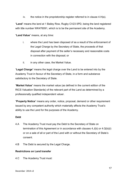iv. the notice in the proprietorship register referred to in clause 4.H(a).

"**Land**" means the land at 1 Bailey Row, Rugby CV23 0PD, being the land registered with title number WK476091, which is to be the permanent site of the Academy.

"**Land Value**" means, at any time:

- i. where the Land has been disposed of as a result of the enforcement of the Legal Charge by the Secretary of State, the proceeds of that disposal after payment of the seller's necessary and reasonable costs in connection with the disposal; or
- ii. in any other case, the Market Value.

"**Legal Charge**" means the legal charge over the Land to be entered into by the Academy Trust in favour of the Secretary of State, in a form and substance satisfactory to the Secretary of State.

"**Market Value**" means the market value (as defined in the current edition of the RICS Valuation Standards) of the relevant part of the Land as determined by a professionally qualified independent valuer.

"**Property Notice**" means any order, notice, proposal, demand or other requirement issued by any competent authority which materially affects the Academy Trust's ability to use the Land for the purposes of the Academy.

# **Debt**

- 4.A The Academy Trust must pay the Debt to the Secretary of State on termination of this Agreement or in accordance with clauses 4.J(b) or 4.Q(b)(i) or on a sale of all or part of the Land with or without the Secretary of State's consent.
- 4.B The Debt is secured by the Legal Charge.

# **Restrictions on Land transfer**

4.C The Academy Trust must: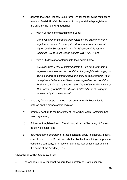- a) apply to the Land Registry using form RX1 for the following restrictions (each a "**Restriction**") to be entered in the proprietorship register for the Land by the following deadlines:
	- i. within 28 days after acquiring the Land:

"*No disposition of the registered estate by the proprietor of the registered estate is to be registered without a written consent signed by the Secretary of State for Education of Sanctuary Buildings, Great Smith Street, London SW1P 3BT*"; and

ii. within 28 days after entering into the Legal Charge:

*"No disposition of the registered estate by the proprietor of the registered estate or by the proprietor of any registered charge, not being a charge registered before the entry of this restriction, is to be registered without a written consent signed by the proprietor for the time being of the charge dated [date of charge] in favour of The Secretary of State for Education referred to in the charges register or by its conveyancer";*

- b) take any further steps required to ensure that each Restriction is entered on the proprietorship register;
- c) promptly confirm to the Secretary of State when each Restriction has been registered;
- d) if it has not registered each Restriction, allow the Secretary of State to do so in its place; and
- e) not, without the Secretary of State's consent, apply to disapply, modify, cancel or remove a Restriction, whether by itself, a holding company, a subsidiary company, or a receiver, administrator or liquidator acting in the name of the Academy Trust.

# **Obligations of the Academy Trust**

4.D The Academy Trust must not, without the Secretary of State's consent: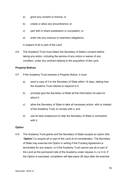- a) grant any consent or licence; or
- b) create or allow any encumbrance; or
- c) part with or share possession or occupation; or
- d) enter into any onerous or restrictive obligations,

in respect of all or part of the Land.

4.E The Academy Trust must obtain the Secretary of State's consent before taking any action, including the service of any notice or waiver of any condition, under any contract relating to the acquisition of the Land.

## **Property Notices**

- 4.F If the Academy Trust receives a Property Notice, it must:
	- a) send a copy of it to the Secretary of State within 14 days, stating how the Academy Trust intends to respond to it;
	- b) promptly give the Secretary of State all the information he asks for about it;
	- c) allow the Secretary of State to take all necessary action, with or instead of the Academy Trust, to comply with it, and
	- d) use its best endeavours to help the Secretary of State in connection with it.

#### **Option**

4.G The Academy Trust grants and the Secretary of State accepts an option (the "**Option**") to acquire all or part of the Land at nil consideration. The Secretary of State may exercise the Option in writing if this Funding Agreement is terminated for any reason, or if the Academy Trust cannot use all or part of the Land as the permanent site of the Academy under clauses 4.J or 4.Q. If the Option is exercised, completion will take place 28 days after the exercise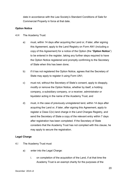date in accordance with the Law Society's Standard Conditions of Sale for Commercial Property in force at that date.

## **Option Notice**

- 4.H The Academy Trust:
	- a) must, within 14 days after acquiring the Land or, if later, after signing this Agreement, apply to the Land Registry on Form AN1 (including a copy of this Agreement) for a notice of the Option (the "**Option Notice**") to be entered in the register, taking any further steps required to have the Option Notice registered and promptly confirming to the Secretary of State when this has been done;
	- b) if it has not registered the Option Notice, agrees that the Secretary of State may apply to register it using Form UN1;
	- c) must not, without the Secretary of State's consent, apply to disapply, modify or remove the Option Notice, whether by itself, a holding company, a subsidiary company, or a receiver, administrator or liquidator acting in the name of the Academy Trust, and
	- d) must, in the case of previously unregistered land, within 14 days after acquiring the Land or, if later, after signing this Agreement, apply to register a Class C(iv) land charge in the Land Charges Registry, and send the Secretary of State a copy of the relevant entry within 7 days after registration has been completed. If the Secretary of State considers that the Academy Trust has not complied with this clause, he may apply to secure the registration.

# **Legal Charge**

- 4.I The Academy Trust must
	- a) enter into the Legal Charge:
		- i. on completion of the acquisition of the Land, if at that time the Academy Trust is an exempt charity for the purposes of the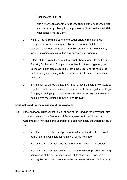Charities Act 2011, or

- ii. within two weeks after the Academy opens, if the Academy Trust is not an exempt charity for the purposes of the Charities Act 2011 when it acquires the Land;
- b) within 21 days from the date of the Legal Charge, register it with Companies House or, if required by the Secretary of State, use all reasonable endeavours to assist the Secretary of State in doing so, including signing and executing any necessary documents;
- c) within 28 days from the date of the Legal Charge, apply to the Land Registry for the Legal Charge to be entered on the charges register, taking any other steps required to have the Legal Charge registered and promptly confirming to the Secretary of State when this has been done; and
- d) if it has not registered the Legal Charge, allow the Secretary of State to register it, and use all reasonable endeavours to help register the Legal Charge, including signing and executing any necessary documents and dealing with requisitions from the Land Registry.

# **Land not used for the purposes of the Academy**

- 4.J If the Academy Trust cannot use all or part of the Land as the permanent site of the Academy but the Secretary of State agrees not to terminate this Agreement on that basis, the Secretary of State may notify the Academy Trust that:
	- a) he intends to exercise the Option to transfer the Land or the relevant part of it for nil consideration to himself or his nominee;
	- b) the Academy Trust must pay the Debt or the Market Value; and/or
	- c) the Academy Trust must sell the Land or the relevant part of it, keeping some or all of the sale proceeds to fulfil its charitable purposes by funding the purchase of an alternative permanent site for the Academy,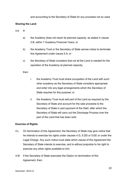and accounting to the Secretary of State for any proceeds not so used.

## **Sharing the Land**

- 4.K If:
	- a) the Academy does not reach its planned capacity, as stated in clause 2.B, within 7 Academy Financial Years; or
	- b) the Academy Trust or the Secretary of State serves notice to terminate this Agreement under clause 5.A; or
	- c) the Secretary of State considers that not all the Land is needed for the operation of the Academy at planned capacity,

#### then:

- i. the Academy Trust must share occupation of the Land with such other academy as the Secretary of State considers appropriate and enter into any legal arrangements which the Secretary of State requires for this purpose; or
- ii. the Academy Trust must sell part of the Land as required by the Secretary of State and account for the sale proceeds to the Secretary of State in part payment of the Debt, after which the Secretary of State will carry out the Discharge Process over the part of the Land that has been sold.

#### **Exercise of Rights**

- 4.L On termination of this Agreement, the Secretary of State may give notice that he intends to exercise his rights under clauses 4.G, 5.DD or 5.EE or under the Legal Charge. Any such notice must state which clause of this Agreement the Secretary of State intends to exercise, and is without prejudice to his right to exercise any other rights available to him.
- 4.M If the Secretary of State exercises the Option on termination of this Agreement, then: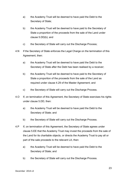- a) the Academy Trust will be deemed to have paid the Debt to the Secretary of State;
- b) the Academy Trust will be deemed to have paid to the Secretary of State a proportion of the proceeds from the sale of the Land under clause 5.DD(b); and
- c) the Secretary of State will carry out the Discharge Process;
- 4.N If the Secretary of State enforces the Legal Charge on the termination of this Agreement, then:
	- a) the Academy Trust will be deemed to have paid the Debt to the Secretary of State after the Debt has been realised by a receiver;
	- b) the Academy Trust will be deemed to have paid to the Secretary of State a proportion of the proceeds from the sale of the Land as required under clause 4.29 of the Master Agreement; and
	- c) the Secretary of State will carry out the Discharge Process.
- 4.O If, on termination of this Agreement, the Secretary of State exercises his rights under clause 5.DD, then:
	- a) the Academy Trust will be deemed to have paid the Debt to the Secretary of State; and
	- b) the Secretary of State will carry out the Discharge Process.
- 4.P If, on termination of this Agreement, the Secretary of State agrees under clause 5.EE that the Academy Trust may invest the proceeds from the sale of the Land for its charitable objects, or directs the Academy Trust to pay all or part of the sale proceeds to the relevant LA, then:
	- a) the Academy Trust will be deemed to have paid the Debt to the Secretary of State; and
	- b) the Secretary of State will carry out the Discharge Process.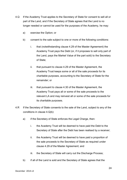- 4.Q If the Academy Trust applies to the Secretary of State for consent to sell all or part of the Land, and if the Secretary of State agrees that the Land is no longer needed or cannot be used for the purposes of the Academy, he may:
	- a) exercise the Option; or
	- b) consent to the sale subject to one or more of the following conditions:
		- i. that (notwithstanding clause 4.29 of the Master Agreement) the Academy Trust pays the Debt (or, if it proposes to sell only part of the Land, pays the Market Value of the part sold) to the Secretary of State;
		- ii. that pursuant to clause 4.29 of the Master Agreement, the Academy Trust keeps some or all of the sale proceeds for its charitable purposes, accounting to the Secretary of State for the remainder; or
		- iii. that pursuant to clause 4.30 of the Master Agreement, the Academy Trust pays all or some of the sale proceeds to the relevant LA and may reinvest all or some of the sale proceeds for its charitable purposes.
- 4.R If the Secretary of State consents to the sale of the Land, subject to any of the conditions in clause 4.Q(b):
	- a) if the Secretary of State enforces the Legal Charge, then:
		- i. the Academy Trust will be deemed to have paid the Debt to the Secretary of State after the Debt has been realised by a receiver;
		- ii. the Academy Trust will be deemed to have paid a proportion of the sale proceeds to the Secretary of State as required under clause 4.29 of the Master Agreement; and
		- iii. the Secretary of State will carry out the Discharge Process;
	- b) if all of the Land is sold and the Secretary of State agrees that the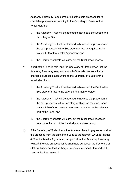Academy Trust may keep some or all of the sale proceeds for its charitable purposes, accounting to the Secretary of State for the remainder, then:

- i. the Academy Trust will be deemed to have paid the Debt to the Secretary of State;
- ii. the Academy Trust will be deemed to have paid a proportion of the sale proceeds to the Secretary of State as required under clause 4.29 of the Master Agreement; and
- iii. the Secretary of State will carry out the Discharge Process;
- c) if part of the Land is sold, and the Secretary of State agrees that the Academy Trust may keep some or all of the sale proceeds for its charitable purposes, accounting to the Secretary of State for the remainder, then:
	- i. the Academy Trust will be deemed to have paid the Debt to the Secretary of State to the extent of the Market Value;
	- ii. the Academy Trust will be deemed to have paid a proportion of the sale proceeds to the Secretary of State, as required under clause 4.29 of the Master Agreement, in relation to the relevant part of the Land; and
	- iii. the Secretary of State will carry out the Discharge Process in relation to the part of the Land which has been sold;
- d) if the Secretary of State directs the Academy Trust to pay some or all of the proceeds from the sale of the Land to the relevant LA under clause 4.30 of the Master Agreement, or agrees that the Academy Trust may reinvest the sale proceeds for its charitable purposes, the Secretary of State will carry out the Discharge Process in relation to the part of the Land which has been sold.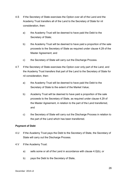- 4.S If the Secretary of State exercises the Option over all of the Land and the Academy Trust transfers all of the Land to the Secretary of State for nil consideration, then:
	- a) the Academy Trust will be deemed to have paid the Debt to the Secretary of State;
	- b) the Academy Trust will be deemed to have paid a proportion of the sale proceeds to the Secretary of State as required under clause 4.29 of the Master Agreement; and
	- c) the Secretary of State will carry out the Discharge Process.
- 4.T If the Secretary of State exercises the Option over only part of the Land, and the Academy Trust transfers that part of the Land to the Secretary of State for nil consideration, then:
	- a) the Academy Trust will be deemed to have paid the Debt to the Secretary of State to the extent of the Market Value;
	- b) Academy Trust will be deemed to have paid a proportion of the sale proceeds to the Secretary of State, as required under clause 4.29 of the Master Agreement, in relation to the part of the Land transferred, and
	- c) the Secretary of State will carry out the Discharge Process in relation to the part of the Land which has been transferred.

# **Payment of Debt**

- 4.U If the Academy Trust pays the Debt to the Secretary of State, the Secretary of State will carry out the Discharge Process.
- 4.V If the Academy Trust:
	- a) sells some or all of the Land in accordance with clause 4.Q(b), or
	- b) pays the Debt to the Secretary of State,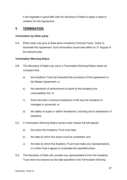it will negotiate in good faith with the Secretary of State to agree a deed of variation for this Agreement.

# <span id="page-26-0"></span>**5. TERMINATION**

#### <span id="page-26-1"></span>**Termination by either party**

5.A Either party may give at least seven Academy Financial Years' notice to terminate this Agreement. Such termination would take effect on 31 August of the relevant year.

## <span id="page-26-2"></span>**Termination Warning Notice**

- 5.B The Secretary of State may serve a Termination Warning Notice where he considers that:
	- a) the Academy Trust has breached the provisions of this Agreement or the Master Agreement; or
	- b) the standards of performance of pupils at the Academy are unacceptably low; or
	- c) there has been a serious breakdown in the way the Academy is managed or governed; or
	- d) the safety of pupils or staff is threatened, including due to breakdown of discipline.
- 5.C A Termination Warning Notice served under clause 5.B will specify:
	- a) the action the Academy Trust must take;
	- b) the date by which the action must be completed; and
	- c) the date by which the Academy Trust must make any representations, or confirm that it agrees to undertake the specified action.
- 5.D The Secretary of State will consider any representations from the Academy Trust which he receives by the date specified in the Termination Warning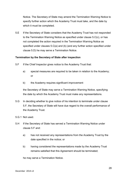Notice. The Secretary of State may amend the Termination Warning Notice to specify further action which the Academy Trust must take, and the date by which it must be completed.

5.E If the Secretary of State considers that the Academy Trust has not responded to the Termination Warning Notice as specified under clause 5.C(c), or has not completed the action required in the Termination Warning Notice as specified under clauses 5.C(a) and (b) (and any further action specified under clause 5.D) he may serve a Termination Notice.

## <span id="page-27-0"></span>**Termination by the Secretary of State after inspection**

- 5.F If the Chief Inspector gives notice to the Academy Trust that:
	- a) special measures are required to be taken in relation to the Academy; or
	- b) the Academy requires significant improvement

the Secretary of State may serve a Termination Warning Notice, specifying the date by which the Academy Trust must make any representations.

- 5.G In deciding whether to give notice of his intention to terminate under clause 5.F, the Secretary of State will have due regard to the overall performance of the Academy Trust.
- 5.G.1 Not used.
- 5.H If the Secretary of State has served a Termination Warning Notice under clause 5.F and:
	- a) has not received any representations from the Academy Trust by the date specified in the notice; or
	- b) having considered the representations made by the Academy Trust remains satisfied that this Agreement should be terminated;

he may serve a Termination Notice.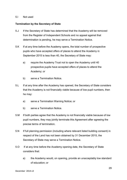#### 5.I Not used

#### <span id="page-28-0"></span>**Termination by the Secretary of State**

- 5.J If the Secretary of State has determined that the Academy will be removed from the Register of Independent Schools and no appeal against that determination is pending, he may serve a Termination Notice.
- 5.K If at any time before the Academy opens, the total number of prospective pupils who have accepted offers of places to attend the Academy in September 2015 is less than 40, the Secretary of State may:
	- a) require the Academy Trust not to open the Academy until 40 prospective pupils have accepted offers of places to attend the Academy; or
	- b) serve a Termination Notice.
- 5.L If at any time after the Academy has opened, the Secretary of State considers that the Academy is not financially viable because of low pupil numbers, then he may:
	- a) serve a Termination Warning Notice; or
	- b) serve a Termination Notice.
- 5.M If both parties agree that the Academy is not financially viable because of low pupil numbers, they may jointly terminate this Agreement after agreeing the precise terms of termination.
- 5.N If full planning permission (including where relevant listed building consent) in respect of the Land has not been obtained by 31 December 2015, the Secretary of State may serve a Termination Notice.
- 5.O If at any time before the Academy opening date, the Secretary of State considers that:
	- a) the Academy would, on opening, provide an unacceptably low standard of education; or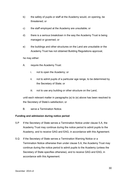- b) the safety of pupils or staff at the Academy would, on opening, be threatened; or
- c) the staff employed at the Academy are unsuitable; or
- d) there is a serious breakdown in the way the Academy Trust is being managed or governed; or
- e) the buildings and other structures on the Land are unsuitable or the Academy Trust has not obtained Building Regulations approval,

he may either:

- A. require the Academy Trust:
	- i. not to open the Academy; or
	- ii. not to admit pupils of a particular age range, to be determined by the Secretary of State; or
	- iii. not to use any building or other structure on the Land,

until each relevant matter in paragraphs (a) to (e) above has been resolved to the Secretary of State's satisfaction; or

B. serve a Termination Notice.

#### <span id="page-29-0"></span>**Funding and admission during notice period**

- 5.P If the Secretary of State serves a Termination Notice under clause 5.A, the Academy Trust may continue during the notice period to admit pupils to the Academy, and to receive GAG and EAG, in accordance with this Agreement.
- 5.Q If the Secretary of State serves a Termination Warning Notice or a Termination Notice otherwise than under clause 5.A, the Academy Trust may continue during the notice period to admit pupils to the Academy (unless the Secretary of State specifies otherwise), and to receive GAG and EAG, in accordance with this Agreement.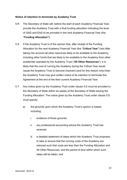## <span id="page-30-0"></span>**Notice of intention to terminate by Academy Trust**

- 5.R The Secretary of State will, before the start of each Academy Financial Year, provide the Academy Trust with a final funding allocation indicating the level of GAG and EAG to be provided in the next Academy Financial Year (the **"Funding Allocation").**
- 5.S If the Academy Trust is of the opinion that, after receipt of the Funding Allocation for the next Academy Financial Year (the "**Critical Year**") and after taking into account all other resources likely to be available to the Academy, including other funds that are likely to be available to the Academy from other academies operated by the Academy Trust ("**All Other Resources**"), it is likely that the cost of running the Academy during the Critical Year would cause the Academy Trust to become insolvent (and for this reason only) then the Academy Trust may give written notice of its intention to terminate this Agreement at the end of the then current Academy Financial Year.
- 5.T Any notice given by the Academy Trust under clause 5.S must be provided to the Secretary of State within six weeks of the Secretary of State issuing the Funding Allocation. The notice given by the Academy Trust under clause 5.S must specify:
	- a) the grounds upon which the Academy Trust's opinion is based, including:
		- i. evidence of those grounds;
		- ii. any professional accounting advice the Academy Trust has received;
		- iii. a detailed statement of steps which the Academy Trust proposes to take to ensure that the running costs of the Academy are reduced such that costs are less than the Funding Allocation and All Other Resources, and the period of time within which such steps will be taken; and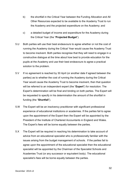- b) the shortfall in the Critical Year between the Funding Allocation and All Other Resources expected to be available to the Academy Trust to run the Academy and the projected expenditure on the Academy; and
- c) a detailed budget of income and expenditure for the Academy during the Critical Year (the "**Projected Budget**").
- 5.U Both parties will use their best endeavours to agree whether or not the cost of running the Academy during the Critical Year would cause the Academy Trust to become insolvent. Both parties recognise that they will need to engage in a constructive dialogue at the time about how best to provide education for the pupils at the Academy and use their best endeavours to agree a practical solution to the problem.
- 5.V If no agreement is reached by 30 April (or another date if agreed between the parties) as to whether the cost of running the Academy during the Critical Year would cause the Academy Trust to become insolvent, then that question will be referred to an independent expert (the "**Expert**") for resolution. The Expert's determination will be final and binding on both parties. The Expert will be requested to specify in his determination the amount of the shortfall in funding (the "**Shortfall**").
- 5.W The Expert will be an insolvency practitioner with significant professional experience of educational institutions or academies. If the parties fail to agree upon the appointment of the Expert then the Expert will be appointed by the President of the Institute of Chartered Accountants in England and Wales. The Expert's fees will be borne equally between the parties.
- 5.X The Expert will be required in reaching his determination to take account of advice from an educational specialist who is professionally familiar with the issues arising from the budget management of schools. If the parties fail to agree upon the appointment of the educational specialist then the educational specialist will be appointed by the Chairman of the Specialist Schools and Academies Trust (or any successor or equivalent body). The educational specialist's fees will be borne equally between the parties.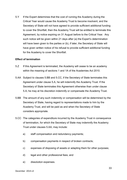5.Y If the Expert determines that the cost of running the Academy during the Critical Year would cause the Academy Trust to become insolvent, and the Secretary of State will not have agreed to provide sufficient additional funding to cover the Shortfall, then the Academy Trust will be entitled to terminate this Agreement, by notice expiring on 31 August before to the Critical Year. Any such notice will be given within 21 days after (a) the Expert's determination will have been given to the parties or (b), if later, the Secretary of State will have given written notice of his refusal to provide sufficient additional funding for the Academy to cover the Shortfall.

#### <span id="page-32-0"></span>**Effect of termination**

- 5.Z If this Agreement is terminated, the Academy will cease to be an academy within the meaning of sections 1 and 1A of the Academies Act 2010.
- 5.AA Subject to clauses 5.BB and 5.CC, if the Secretary of State terminates this Agreement under clause 5.A, he will indemnify the Academy Trust. If the Secretary of State terminates this Agreement otherwise than under clause 5.A, he may at his discretion indemnify or compensate the Academy Trust.
- 5.BB The amount of any such indemnity or compensation will be determined by the Secretary of State, having regard to representations made to him by the Academy Trust, and will be paid as and when the Secretary of State considers appropriate.
- 5.CC The categories of expenditure incurred by the Academy Trust in consequence of termination, for which the Secretary of State may indemnify the Academy Trust under clauses 5.AA, may include:
	- a) staff compensation and redundancy payments;
	- b) compensation payments in respect of broken contracts;
	- c) expenses of disposing of assets or adapting them for other purposes;
	- d) legal and other professional fees; and
	- e) dissolution expenses.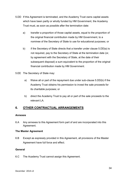- 5.DD If this Agreement is terminated, and the Academy Trust owns capital assets which have been partly or wholly funded by HM Government, the Academy Trust must, as soon as possible after the termination date:
	- a) transfer a proportion of those capital assets, equal to the proportion of the original financial contribution made by HM Government, to a nominee of the Secretary of State to use for educational purposes; or
	- b) if the Secretary of State directs that a transfer under clause 5.DD(a) is not required, pay to the Secretary of State at the termination date (or, by agreement with the Secretary of State, at the date of their subsequent disposal) a sum equivalent to the proportion of the original financial contribution made by HM Government.
- 5.EE The Secretary of State may:
	- a) Waive all or part of the repayment due under sub-clause 5.DD(b) if the Academy Trust obtains his permission to invest the sale proceeds for its charitable purposes; or
	- b) direct the Academy Trust to pay all or part of the sale proceeds to the relevant LA.

# <span id="page-33-0"></span>**6. OTHER CONTRACTUAL ARRANGEMENTS**

#### <span id="page-33-1"></span>**Annexes**

6.A Any annexes to this Agreement form part of and are incorporated into this Agreement.

#### <span id="page-33-2"></span>**The Master Agreement**

6.B Except as expressly provided in this Agreement, all provisions of the Master Agreement have full force and effect.

#### <span id="page-33-3"></span>**General**

6.C The Academy Trust cannot assign this Agreement.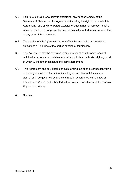- 6.D Failure to exercise, or a delay in exercising, any right or remedy of the Secretary of State under this Agreement (including the right to terminate this Agreement), or a single or partial exercise of such a right or remedy, is not a waiver of, and does not prevent or restrict any initial or further exercise of, that or any other right or remedy.
- 6.E Termination of this Agreement will not affect the accrued rights, remedies, obligations or liabilities of the parties existing at termination.
- 6.F This Agreement may be executed in any number of counterparts, each of which when executed and delivered shall constitute a duplicate original, but all of which will together constitute the same agreement.
- 6.G This Agreement and any dispute or claim arising out of or in connection with it or its subject matter or formation (including non-contractual disputes or claims) shall be governed by and construed in accordance with the law of England and Wales, and submitted to the exclusive jurisdiction of the courts of England and Wales.
- 6.H Not used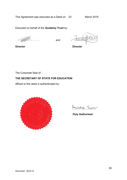Executed on behalf of the **Academy Trust** by:

………………………..

and ………………………..

**Director**

**Director**

The Corporate Seal of

# **THE SECRETARY OF STATE FOR EDUCATION**

affixed to this deed is authenticated by:



Michelle lu

**Duly Authorised**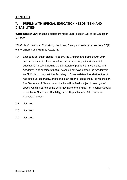# <span id="page-36-0"></span>**ANNEXES**

# <span id="page-36-1"></span>**7. PUPILS WITH SPECIAL EDUCATION NEEDS (SEN) AND DISABILITIES**

"**Statement of SEN**" means a statement made under section 324 of the Education Act 1996.

**"EHC plan"** means an Education, Health and Care plan made under sections 37(2) of the Children and Families Act 2014.

- 7.A Except as set out in clause 10 below, the Children and Families Act 2014 imposes duties directly on Academies in respect of pupils with special educational needs, including the admission of pupils with EHC plans. If an Academy Trust considers that a LA should not have named the Academy in an EHC plan, it may ask the Secretary of State to determine whether the LA has acted unreasonably, and to make an order directing the LA to reconsider. The Secretary of State's determination will be final, subject to any right of appeal which a parent of the child may have to the First Tier Tribunal (Special Educational Needs and Disability) or the Upper Tribunal Administrative Appeals Chamber.
- 7.B Not used
- 7.C Not used
- 7.D Not used.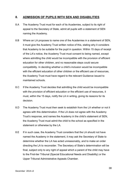# <span id="page-37-0"></span>**8. ADMISSION OF PUPILS WITH SEN AND DISABILITIES**

- 8.A The Academy Trust must for each of its Academies, subject to its right of appeal to the Secretary of State, admit all pupils with a statement of SEN naming the Academy.
- 8.B Where an LA proposes to name one of the Academies in a statement of SEN, it must give the Academy Trust written notice of this, stating why it considers that Academy to be suitable for the pupil in question. Within 15 days of receipt of the LA's notice, the Academy Trust must consent to being named, except where admitting the child would be incompatible with the provision of efficient education for other children, and no reasonable steps could secure compatibility. In deciding whether a child's inclusion would be incompatible with the efficient education of other children or the efficient use of resources, the Academy Trust must have regard to the relevant Guidance issued to maintained schools.
- 8.C If the Academy Trust decides that admitting the child would be incompatible with the provision of efficient education or the efficient use of resources, it must, within the 15 days, notify the LA in writing, giving its reasons for its decision.
- 8.D The Academy Trust must then seek to establish from the LA whether or not it agrees with this determination. If the LA does not agree with the Academy Trust's response, and names the Academy in the child's statement of SEN, the Academy Trust must admit the child to the school as specified in the statement or otherwise by the LA.
- 8.E If in such case, the Academy Trust considers that the LA should not have named the Academy in the statement, it may ask the Secretary of State to determine whether the LA has acted unreasonably, and to make an order directing the LA to reconsider. The Secretary of State's determination will be final, subject only to any right of appeal which a parent of the child may have to the First-tier Tribunal (Special Educational Needs and Disability) or the Upper Tribunal Administrative Appeals Chamber.